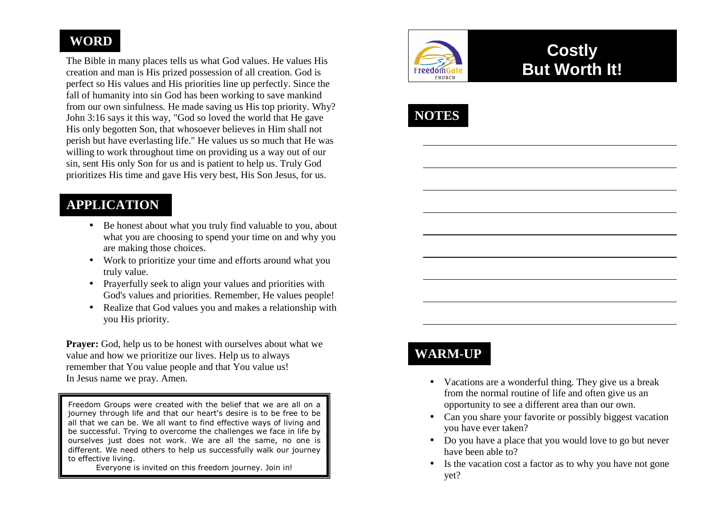# **WORD**

The Bible in many places tells us what God values. He values His creation and man is His prized possession of all creation. God is perfect so His values and His priorities line up perfectly. Since the fall of humanity into sin God has been working to save mankind from our own sinfulness. He made saving us His top priority. Why? John 3:16 says it this way, "God so loved the world that He gave His only begotten Son, that whosoever believes in Him shall not perish but have everlasting life." He values us so much that He was willing to work throughout time on providing us a way out of our sin, sent His only Son for us and is patient to help us. Truly God prioritizes His time and gave His very best, His Son Jesus, for us.

## **APPLICATION**

- Be honest about what you truly find valuable to you, about what you are choosing to spend your time on and why you are making those choices.
- Work to prioritize your time and efforts around what you truly value.
- Prayerfully seek to align your values and priorities with God's values and priorities. Remember, He values people!
- Realize that God values you and makes a relationship with you His priority.

**Prayer:** God, help us to be honest with ourselves about what we value and how we prioritize our lives. Help us to always remember that You value people and that You value us! In Jesus name we pray. Amen.

Freedom Groups were created with the belief that we are all on a journey through life and that our heart's desire is to be free to be all that we can be. We all want to find effective ways of living and be successful. Trying to overcome the challenges we face in life by ourselves just does not work. We are all the same, no one is different. We need others to help us successfully walk our journey to effective living.

Everyone is invited on this freedom journey. Join in!



# **Costly But Worth It!**



# **WARM-UP**

- Vacations are a wonderful thing. They give us a break from the normal routine of life and often give us an opportunity to see a different area than our own.
- Can you share your favorite or possibly biggest vacation you have ever taken?
- Do you have a place that you would love to go but never have been able to?
- Is the vacation cost a factor as to why you have not gone yet?